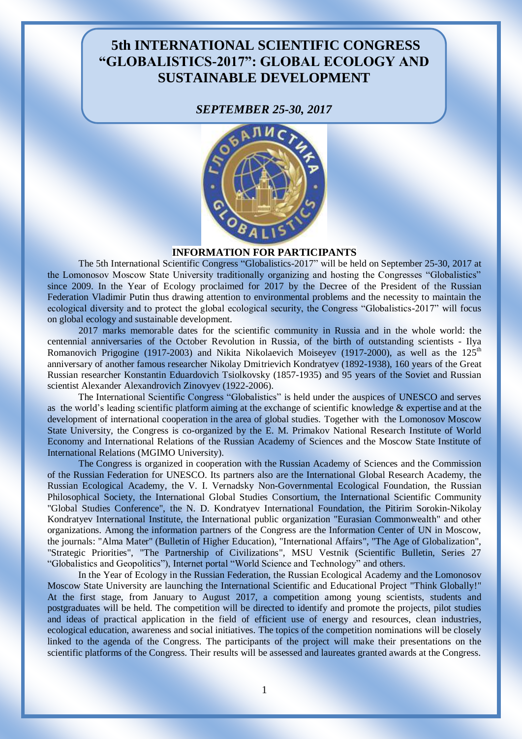# **5th INTERNATIONAL SCIENTIFIC CONGRESS "GLOBALISTICS-2017": GLOBAL ECOLOGY AND SUSTAINABLE DEVELOPMENT**

### *SEPTEMBER 25-30, 2017*



#### **INFORMATION FOR PARTICIPANTS**

The 5th International Scientific Congress "Globalistics-2017" will be held on September 25-30, 2017 at the Lomonosov Moscow State University traditionally organizing and hosting the Congresses "Globalistics" since 2009. In the Year of Ecology proclaimed for 2017 by the Decree of the President of the Russian Federation Vladimir Putin thus drawing attention to environmental problems and the necessity to maintain the ecological diversity and to protect the global ecological security, the Congress "Globalistics-2017" will focus on global ecology and sustainable development.

2017 marks memorable dates for the scientific community in Russia and in the whole world: the centennial anniversaries of the October Revolution in Russia, of the birth of outstanding scientists - Ilya Romanovich Prigogine (1917-2003) and Nikita Nikolaevich Moiseyev (1917-2000), as well as the  $125<sup>th</sup>$ anniversary of another famous researcher Nikolay Dmitrievich Kondratyev (1892-1938), 160 years of the Great Russian researcher Konstantin Eduardovich Tsiolkovsky (1857-1935) and 95 years of the Soviet and Russian scientist Alexander Alexandrovich Zinovyev (1922-2006).

The International Scientific Congress "Globalistics" is held under the auspices of UNESCO and serves as the world's leading scientific platform aiming at the exchange of scientific knowledge & expertise and at the development of international cooperation in the area of global studies. Together with the Lomonosov Moscow State University, the Congress is co-organized by the E. M. Primakov National Research Institute of World Economy and International Relations of the Russian Academy of Sciences and the Moscow State Institute of International Relations (MGIMO University).

The Congress is organized in cooperation with the Russian Academy of Sciences and the Commission of the Russian Federation for UNESCO. Its partners also are the International Global Research Academy, the Russian Ecological Academy, the V. I. Vernadsky Non-Governmental Ecological Foundation, the Russian Philosophical Society, the International Global Studies Consortium, the International Scientific Community "Global Studies Conference", the N. D. Kondratyev International Foundation, the Pitirim Sorokin-Nikolay Kondratyev International Institute, the International public organization "Eurasian Commonwealth" and other organizations. Among the information partners of the Congress are the Information Center of UN in Moscow, the journals: "Alma Mater" (Bulletin of Higher Education), "International Affairs", "The Age of Globalization", "Strategic Priorities", "The Partnership of Civilizations", MSU Vestnik (Scientific Bulletin, Series 27 "Globalistics and Geopolitics"), Internet portal "World Science and Technology" and others.

In the Year of Ecology in the Russian Federation, the Russian Ecological Academy and the Lomonosov Moscow State University are launching the International Scientific and Educational Project "Think Globally!" At the first stage, from January to August 2017, a competition among young scientists, students and postgraduates will be held. The competition will be directed to identify and promote the projects, pilot studies and ideas of practical application in the field of efficient use of energy and resources, clean industries, ecological education, awareness and social initiatives. The topics of the competition nominations will be closely linked to the agenda of the Congress. The participants of the project will make their presentations on the scientific platforms of the Congress. Their results will be assessed and laureates granted awards at the Congress.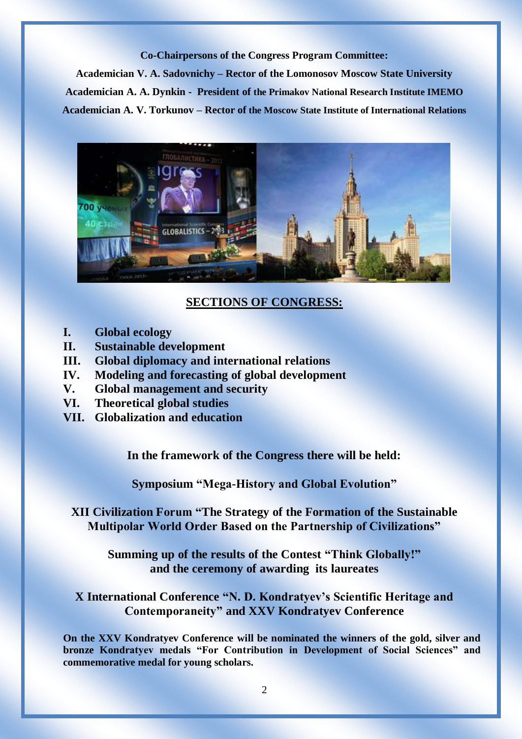#### **Co-Chairpersons of the Congress Program Committee:**

**Academician V. A. Sadovnichy – Rector of the Lomonosov Moscow State University Academician A. A. Dynkin - President of the Primakov National Research Institute IMEMO Academician A. V. Torkunov – Rector of the Moscow State Institute of International Relations** 



### **SECTIONS OF CONGRESS:**

- **I. Global ecology**
- **II. Sustainable development**
- **III. Global diplomacy and international relations**
- **IV. Modeling and forecasting of global development**
- **V. Global management and security**
- **VI. Theoretical global studies**
- **VII. Globalization and education**

**In the framework of the Congress there will be held:**

**Symposium "Mega-History and Global Evolution"** 

**XII Civilization Forum "The Strategy of the Formation of the Sustainable Multipolar World Order Based on the Partnership of Civilizations"**

**Summing up of the results of the Contest "Think Globally!" and the ceremony of awarding its laureates**

**X International Conference "N. D. Kondratyev's Scientific Heritage and Contemporaneity" and XXV Kondratyev Conference**

**On the XXV Kondratyev Conference will be nominated the winners of the gold, silver and bronze Kondratyev medals "For Contribution in Development of Social Sciences" and commemorative medal for young scholars.**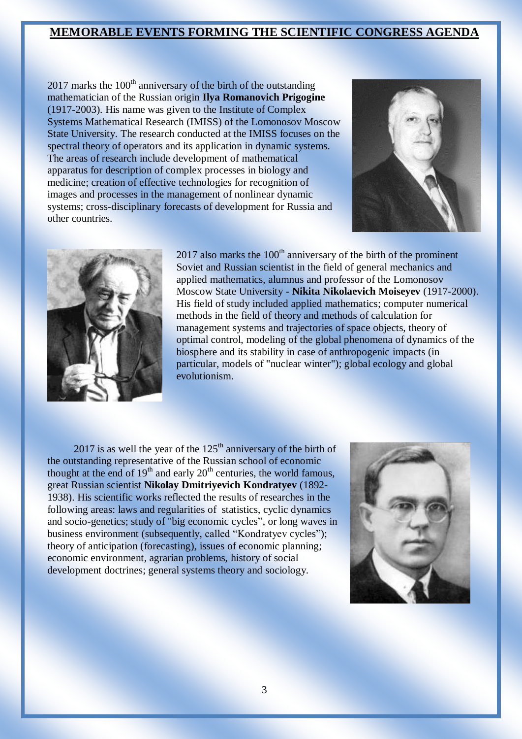# **MEMORABLE EVENTS FORMING THE SCIENTIFIC CONGRESS AGENDA**

 $2017$  marks the  $100<sup>th</sup>$  anniversary of the birth of the outstanding mathematician of the Russian origin **Ilya Romanovich Prigogine** (1917-2003). His name was given to the Institute of Complex Systems Mathematical Research (IMISS) of the Lomonosov Moscow State University. The research conducted at the IMISS focuses on the spectral theory of operators and its application in dynamic systems. The areas of research include development of mathematical apparatus for description of complex processes in biology and medicine; creation of effective technologies for recognition of images and processes in the management of nonlinear dynamic systems; cross-disciplinary forecasts of development for Russia and other countries.





 $2017$  also marks the  $100<sup>th</sup>$  anniversary of the birth of the prominent Soviet and Russian scientist in the field of general mechanics and applied mathematics, alumnus and professor of the Lomonosov Moscow State University - **Nikita Nikolaevich Moiseyev** (1917-2000). His field of study included applied mathematics; computer numerical methods in the field of theory and methods of calculation for management systems and trajectories of space objects, theory of optimal control, modeling of the global phenomena of dynamics of the biosphere and its stability in case of anthropogenic impacts (in particular, models of "nuclear winter"); global ecology and global evolutionism.

2017 is as well the year of the  $125<sup>th</sup>$  anniversary of the birth of the outstanding representative of the Russian school of economic thought at the end of  $19<sup>th</sup>$  and early  $20<sup>th</sup>$  centuries, the world famous, great Russian scientist **Nikolay Dmitriyevich Kondratyev** (1892- 1938). His scientific works reflected the results of researches in the following areas: laws and regularities of statistics, cyclic dynamics and socio-genetics; study of "big economic cycles", or long waves in business environment (subsequently, called "Kondratyev cycles"); theory of anticipation (forecasting), issues of economic planning; economic environment, agrarian problems, history of social development doctrines; general systems theory and sociology.

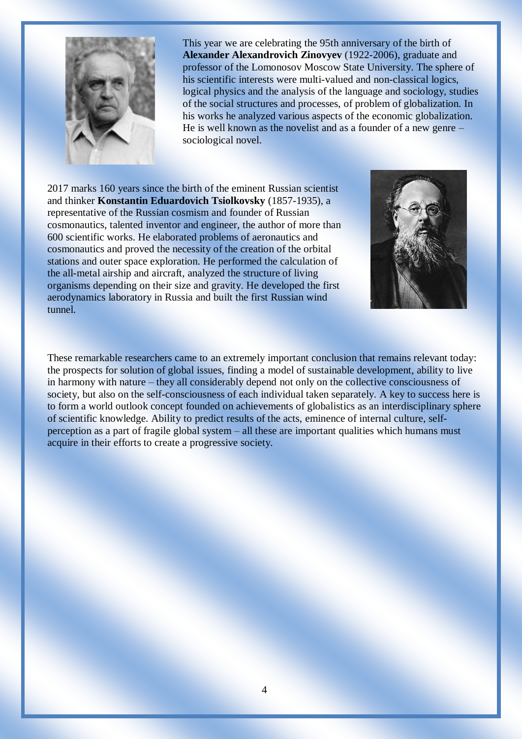

This year we are celebrating the 95th anniversary of the birth of **Alexander Alexandrovich Zinovyev** (1922-2006), graduate and professor of the Lomonosov Moscow State University. The sphere of his scientific interests were multi-valued and non-classical logics, logical physics and the analysis of the language and sociology, studies of the social structures and processes, of problem of globalization. In his works he analyzed various aspects of the economic globalization. He is well known as the novelist and as a founder of a new genre – sociological novel.

2017 marks 160 years since the birth of the eminent Russian scientist and thinker **Konstantin Eduardovich Tsiolkovsky** (1857-1935), a representative of the Russian cosmism and founder of Russian cosmonautics, talented inventor and engineer, the author of more than 600 scientific works. He elaborated problems of aeronautics and cosmonautics and proved the necessity of the creation of the orbital stations and outer space exploration. He performed the calculation of the all-metal airship and aircraft, analyzed the structure of living organisms depending on their size and gravity. He developed the first aerodynamics laboratory in Russia and built the first Russian wind tunnel.



These remarkable researchers came to an extremely important conclusion that remains relevant today: the prospects for solution of global issues, finding a model of sustainable development, ability to live in harmony with nature – they all considerably depend not only on the collective consciousness of society, but also on the self-consciousness of each individual taken separately. A key to success here is to form a world outlook concept founded on achievements of globalistics as an interdisciplinary sphere of scientific knowledge. Ability to predict results of the acts, eminence of internal culture, selfperception as a part of fragile global system – all these are important qualities which humans must acquire in their efforts to create a progressive society.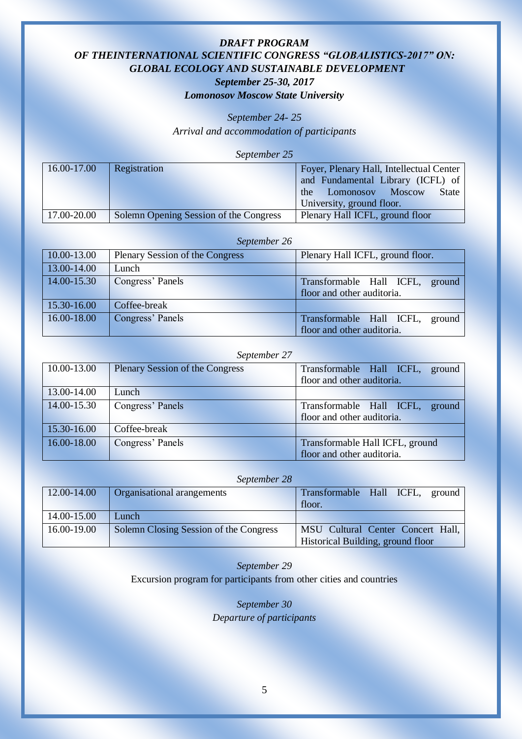# *DRAFT PROGRAM OF THEINTERNATIONAL SCIENTIFIC CONGRESS "GLOBALISTICS-2017" ON: GLOBAL ECOLOGY AND SUSTAINABLE DEVELOPMENT September 25-30, 2017 Lomonosov Moscow State University*

*September 24- 25*

*Arrival and accommodation of participants*

*September 25*

| 16.00-17.00 | Registration                           | Foyer, Plenary Hall, Intellectual Center |
|-------------|----------------------------------------|------------------------------------------|
|             |                                        | and Fundamental Library (ICFL) of        |
|             |                                        | <b>State</b><br>the Lomonosov Moscow     |
|             |                                        | University, ground floor.                |
| 17.00-20.00 | Solemn Opening Session of the Congress | Plenary Hall ICFL, ground floor          |

#### *September 26*

| 10.00-13.00 | <b>Plenary Session of the Congress</b> | Plenary Hall ICFL, ground floor. |
|-------------|----------------------------------------|----------------------------------|
| 13.00-14.00 | Lunch                                  |                                  |
| 14.00-15.30 | Congress' Panels                       | Transformable Hall ICFL, ground  |
|             |                                        | floor and other auditoria.       |
| 15.30-16.00 | Coffee-break                           |                                  |
| 16.00-18.00 | Congress' Panels                       | Transformable Hall ICFL, ground  |
|             |                                        | floor and other auditoria.       |

#### *September 27*

| 10.00-13.00 | <b>Plenary Session of the Congress</b> | Transformable Hall ICFL, ground    |
|-------------|----------------------------------------|------------------------------------|
|             |                                        | floor and other auditoria.         |
| 13.00-14.00 | Lunch                                  |                                    |
| 14.00-15.30 | Congress' Panels                       | Transformable Hall ICFL,<br>ground |
|             |                                        | floor and other auditoria.         |
| 15.30-16.00 | Coffee-break                           |                                    |
| 16.00-18.00 | Congress' Panels                       | Transformable Hall ICFL, ground    |
|             |                                        | floor and other auditoria.         |

#### *September 28*

| 12.00-14.00 | Organisational arangements             | Transformable Hall ICFL, ground<br>floor.                              |
|-------------|----------------------------------------|------------------------------------------------------------------------|
| 14.00-15.00 | Lunch                                  |                                                                        |
| 16.00-19.00 | Solemn Closing Session of the Congress | MSU Cultural Center Concert Hall,<br>Historical Building, ground floor |

*September 29* Excursion program for participants from other cities and countries

> *September 30 Departure of participants*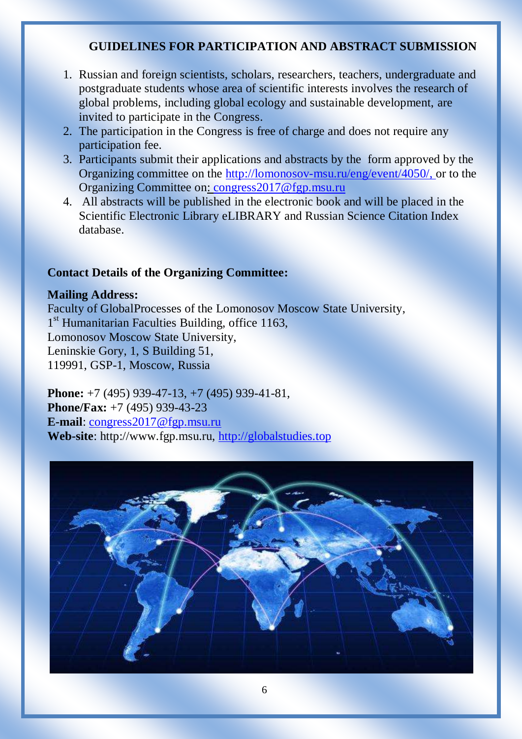# **GUIDELINES FOR PARTICIPATION AND ABSTRACT SUBMISSION**

- 1. Russian and foreign scientists, scholars, researchers, teachers, undergraduate and postgraduate students whose area of scientific interests involves the research of global problems, including global ecology and sustainable development, are invited to participate in the Congress.
- 2. The participation in the Congress is free of charge and does not require any participation fee.
- 3. Participants submit their applications and abstracts by the form approved by the Organizing committee on the [http://lomonosov-msu.ru/eng/event/4050/,](http://lomonosov-msu.ru/eng/event/4050/) or to the Organizing Committee on: [congress2017@fgp.msu.ru](mailto:congress2017@fgp.msu.ru)
- 4. All abstracts will be published in the electronic book and will be placed in the Scientific Electronic Library eLIBRARY and Russian Science Citation Index database.

# **Contact Details of the Organizing Committee:**

## **Mailing Address:**

Faculty of GlobalProcesses of the Lomonosov Moscow State University, 1<sup>st</sup> Humanitarian Faculties Building, office 1163, Lomonosov Moscow State University, Leninskie Gory, 1, S Building 51, 119991, GSP-1, Moscow, Russia

**Phone:** +7 (495) 939-47-13, +7 (495) 939-41-81, **Phone/Fax:** +7 (495) 939-43-23 **E-mail**: [congress2017@fgp.msu.ru](mailto:congress2017@fgp.msu.ru) **Web-site**: [http://www.fgp.msu.ru,](http://www.fgp.msu.ru/) [http://globalstudies.top](http://globalstudies.top/)

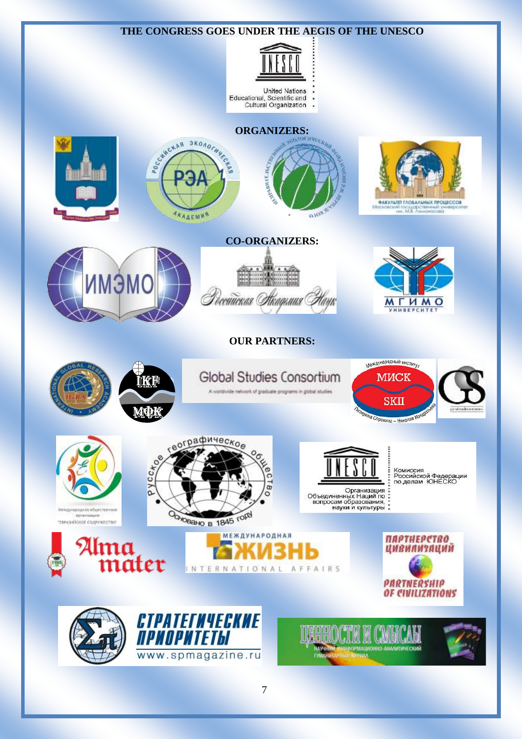

7